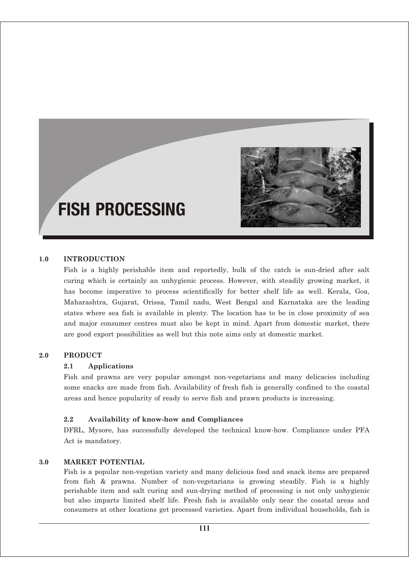

# FISH PROCESSING

## **1.0 INTRODUCTION**

Fish is a highly perishable item and reportedly, bulk of the catch is sun-dried after salt curing which is certainly an unhygienic process. However, with steadily growing market, it has become imperative to process scientifically for better shelf life as well. Kerala, Goa, Maharashtra, Gujarat, Orissa, Tamil nadu, West Bengal and Karnataka are the leading states where sea fish is available in plenty. The location has to be in close proximity of sea and major consumer centres must also be kept in mind. Apart from domestic market, there are good export possibilities as well but this note aims only at domestic market.

#### **2.0 PRODUCT**

#### **2.1 Applications**

Fish and prawns are very popular amongst non-vegetarians and many delicacies including some snacks are made from fish. Availability of fresh fish is generally confined to the coastal areas and hence popularity of ready to serve fish and prawn products is increasing.

#### **2.2 Availability of know-how and Compliances**

DFRL, Mysore, has successfully developed the technical know-how. Compliance under PFA Act is mandatory.

#### **3.0 MARKET POTENTIAL**

Fish is a popular non-vegetian variety and many delicious food and snack items are prepared from fish & prawns. Number of non-vegetarians is growing steadily. Fish is a highly perishable item and salt curing and sun-drying method of processing is not only unhygienic but also imparts limited shelf life. Fresh fish is available only near the coastal areas and consumers at other locations get processed varieties. Apart from individual households, fish is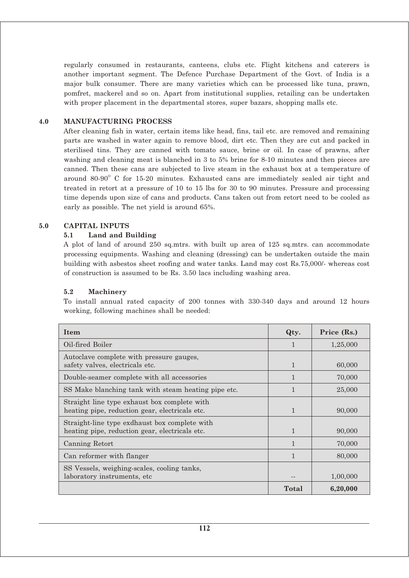regularly consumed in restaurants, canteens, clubs etc. Flight kitchens and caterers is another important segment. The Defence Purchase Department of the Govt. of India is a major bulk consumer. There are many varieties which can be processed like tuna, prawn, pomfret, mackerel and so on. Apart from institutional supplies, retailing can be undertaken with proper placement in the departmental stores, super bazars, shopping malls etc.

#### **4.0 MANUFACTURING PROCESS**

After cleaning fish in water, certain items like head, fins, tail etc. are removed and remaining parts are washed in water again to remove blood, dirt etc. Then they are cut and packed in sterilised tins. They are canned with tomato sauce, brine or oil. In case of prawns, after washing and cleaning meat is blanched in 3 to 5% brine for 8-10 minutes and then pieces are canned. Then these cans are subjected to live steam in the exhaust box at a temperature of around  $80-90^\circ$  C for 15-20 minutes. Exhausted cans are immediately sealed air tight and treated in retort at a pressure of 10 to 15 lbs for 30 to 90 minutes. Pressure and processing time depends upon size of cans and products. Cans taken out from retort need to be cooled as early as possible. The net yield is around 65%.

#### **5.0 CAPITAL INPUTS**

#### **5.1 Land and Building**

A plot of land of around 250 sq.mtrs. with built up area of 125 sq.mtrs. can accommodate processing equipments. Washing and cleaning (dressing) can be undertaken outside the main building with asbestos sheet roofing and water tanks. Land may cost Rs.75,000/- whereas cost of construction is assumed to be Rs. 3.50 lacs including washing area.

#### **5.2 Machinery**

To install annual rated capacity of 200 tonnes with 330-340 days and around 12 hours working, following machines shall be needed:

| <b>Item</b>                                                                                     | Qty.         | Price (Rs.) |
|-------------------------------------------------------------------------------------------------|--------------|-------------|
| Oil-fired Boiler                                                                                |              | 1,25,000    |
| Autoclave complete with pressure gauges,<br>safety valves, electricals etc.                     | $\mathbf{1}$ | 60,000      |
| Double-seamer complete with all accessories                                                     | 1            | 70,000      |
| SS Make blanching tank with steam heating pipe etc.                                             | 1            | 25,000      |
| Straight line type exhaust box complete with<br>heating pipe, reduction gear, electricals etc.  | $\mathbf{1}$ | 90,000      |
| Straight-line type exdhaust box complete with<br>heating pipe, reduction gear, electricals etc. | $\mathbf{1}$ | 90,000      |
| Canning Retort                                                                                  | 1            | 70,000      |
| Can reformer with flanger                                                                       | $\mathbf{1}$ | 80,000      |
| SS Vessels, weighing-scales, cooling tanks,<br>laboratory instruments, etc.                     |              | 1,00,000    |
|                                                                                                 | Total        | 6,20,000    |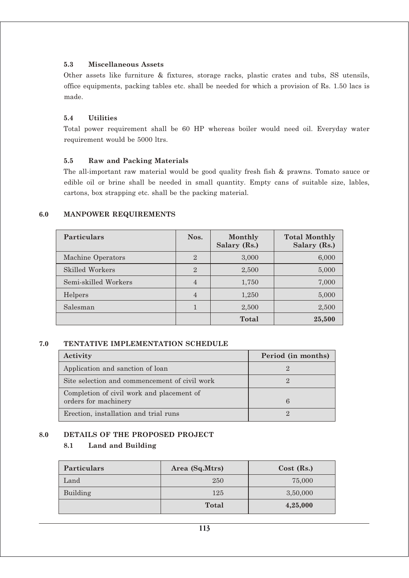## **5.3 Miscellaneous Assets**

Other assets like furniture & fixtures, storage racks, plastic crates and tubs, SS utensils, office equipments, packing tables etc. shall be needed for which a provision of Rs. 1.50 lacs is made.

#### **5.4 Utilities**

Total power requirement shall be 60 HP whereas boiler would need oil. Everyday water requirement would be 5000 ltrs.

## **5.5 Raw and Packing Materials**

The all-important raw material would be good quality fresh fish & prawns. Tomato sauce or edible oil or brine shall be needed in small quantity. Empty cans of suitable size, lables, cartons, box strapping etc. shall be the packing material.

## **6.0 MANPOWER REQUIREMENTS**

| Particulars          | Nos.           | Monthly<br>Salary (Rs.) | <b>Total Monthly</b><br>Salary (Rs.) |
|----------------------|----------------|-------------------------|--------------------------------------|
| Machine Operators    | $\mathbf{2}$   | 3,000                   | 6,000                                |
| Skilled Workers      | $\mathbf{2}$   | 2,500                   | 5,000                                |
| Semi-skilled Workers | $\overline{4}$ | 1,750                   | 7,000                                |
| Helpers              | $\overline{4}$ | 1,250                   | 5,000                                |
| Salesman             |                | 2,500                   | 2,500                                |
|                      |                | Total                   | 25,500                               |

#### **7.0 TENTATIVE IMPLEMENTATION SCHEDULE**

| Activity                                                          | Period (in months) |
|-------------------------------------------------------------------|--------------------|
| Application and sanction of loan                                  |                    |
| Site selection and commencement of civil work                     |                    |
| Completion of civil work and placement of<br>orders for machinery |                    |
| Erection, installation and trial runs                             |                    |

## **8.0 DETAILS OF THE PROPOSED PROJECT**

## **8.1 Land and Building**

| <b>Particulars</b> | Area (Sq.Mtrs) | $Cost$ (Rs.) |
|--------------------|----------------|--------------|
| Land               | 250            | 75,000       |
| Building           | 125            | 3,50,000     |
|                    | <b>Total</b>   | 4,25,000     |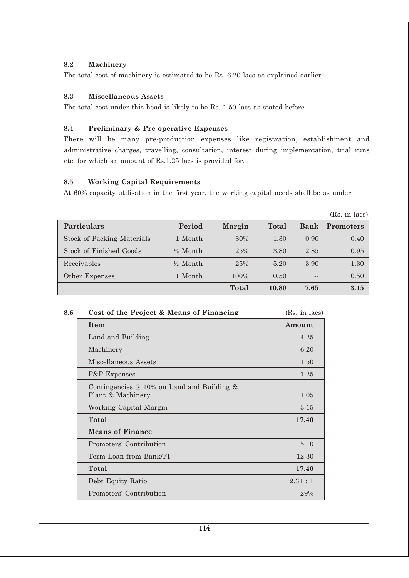## **8.2 Machinery**

The total cost of machinery is estimated to be Rs. 6.20 lacs as explained earlier.

#### **8.3 Miscellaneous Assets**

The total cost under this head is likely to be Rs. 1.50 lacs as stated before.

## **8.4 Preliminary & Pre-operative Expenses**

There will be many pre-production expenses like registration, establishment and administrative charges, travelling, consultation, interest during implementation, trial runs etc. for which an amount of Rs.1.25 lacs is provided for.

# **8.5 Working Capital Requirements**

At 60% capacity utilisation in the first year, the working capital needs shall be as under:

|                                   |                     |         |       |             | (Rs. in lacs)    |
|-----------------------------------|---------------------|---------|-------|-------------|------------------|
| Particulars                       | Period              | Margin  | Total | <b>Bank</b> | <b>Promoters</b> |
| <b>Stock of Packing Materials</b> | 1 Month             | 30%     | 1.30  | 0.90        | 0.40             |
| <b>Stock of Finished Goods</b>    | $\frac{1}{2}$ Month | 25%     | 3.80  | 2.85        | 0.95             |
| Receivables                       | $\frac{1}{2}$ Month | 25%     | 5.20  | 3.90        | 1.30             |
| Other Expenses                    | 1 Month             | $100\%$ | 0.50  | $- -$       | 0.50             |
|                                   |                     | Total   | 10.80 | 7.65        | 3.15             |

| 8.6 | Cost of the Project & Means of Financing | (Rs. in lacs) |
|-----|------------------------------------------|---------------|
|     |                                          |               |

| Item                                                                      | Amount |
|---------------------------------------------------------------------------|--------|
| Land and Building                                                         | 4.25   |
| Machinery                                                                 | 6.20   |
| Miscellaneous Assets                                                      | 1.50   |
| P&P Expenses                                                              | 1.25   |
| Contingencies $\omega$ 10% on Land and Building $\&$<br>Plant & Machinery | 1.05   |
| Working Capital Margin                                                    | 3.15   |
| Total                                                                     | 17.40  |
| <b>Means of Finance</b>                                                   |        |
| Promoters' Contribution                                                   | 5.10   |
| Term Loan from Bank/FI                                                    | 12.30  |
| Total                                                                     | 17.40  |
| Debt Equity Ratio                                                         | 2.31:1 |
| Promoters' Contribution                                                   | 29%    |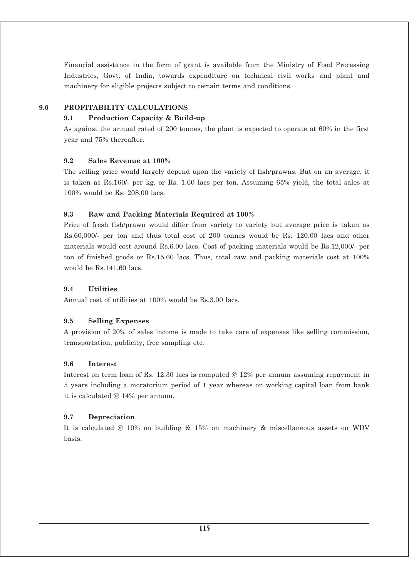Financial assistance in the form of grant is available from the Ministry of Food Processing Industries, Govt. of India, towards expenditure on technical civil works and plant and machinery for eligible projects subject to certain terms and conditions.

# **9.0 PROFITABILITY CALCULATIONS**

# **9.1 Production Capacity & Build-up**

As against the annual rated of 200 tonnes, the plant is expected to operate at 60% in the first year and 75% thereafter.

## **9.2 Sales Revenue at 100%**

The selling price would largely depend upon the variety of fish/prawns. But on an average, it is taken as Rs.160/- per kg. or Rs. 1.60 lacs per ton. Assuming 65% yield, the total sales at 100% would be Rs. 208.00 lacs.

# **9.3 Raw and Packing Materials Required at 100%**

Price of fresh fish/prawn would differ from variety to variety but average price is taken as Rs.60,000/- per ton and thus total cost of 200 tonnes would be Rs. 120.00 lacs and other materials would cost around Rs.6.00 lacs. Cost of packing materials would be Rs.12,000/- per ton of finished goods or Rs.15.60 lacs. Thus, total raw and packing materials cost at 100% would be Rs 141.60 lacs.

## **9.4 Utilities**

Annual cost of utilities at 100% would be Rs.3.00 lacs.

## **9.5 Selling Expenses**

A provision of 20% of sales income is made to take care of expenses like selling commission, transportation, publicity, free sampling etc.

## **9.6 Interest**

Interest on term loan of Rs. 12.30 lacs is computed @ 12% per annum assuming repayment in 5 years including a moratorium period of 1 year whereas on working capital loan from bank it is calculated @ 14% per annum.

## **9.7 Depreciation**

It is calculated @ 10% on building & 15% on machinery & miscellaneous assets on WDV basis.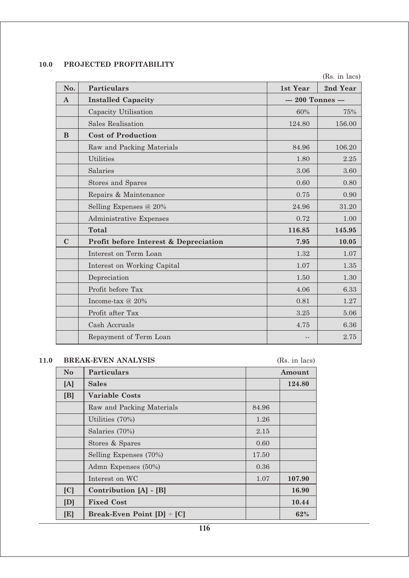# **10.0 PROJECTED PROFITABILITY**

(Rs. in lacs)

| No.         | <b>Particulars</b>                    | 1st Year           | 2nd Year |
|-------------|---------------------------------------|--------------------|----------|
| $\bf{A}$    | <b>Installed Capacity</b>             | --- 200 Tonnes --- |          |
|             | Capacity Utilisation                  | 60%                | 75%      |
|             | <b>Sales Realisation</b>              | 124.80             | 156.00   |
| B           | <b>Cost of Production</b>             |                    |          |
|             | Raw and Packing Materials             | 84.96              | 106.20   |
|             | <b>Utilities</b>                      | 1.80               | 2.25     |
|             | Salaries                              | 3.06               | 3.60     |
|             | Stores and Spares                     | 0.60               | 0.80     |
|             | Repairs & Maintenance                 | 0.75               | 0.90     |
|             | Selling Expenses @ 20%                | 24.96              | 31.20    |
|             | Administrative Expenses               | 0.72               | 1.00     |
|             | <b>Total</b>                          | 116.85             | 145.95   |
| $\mathbf C$ | Profit before Interest & Depreciation | 7.95               | 10.05    |
|             | Interest on Term Loan                 | 1.32               | 1.07     |
|             | Interest on Working Capital           | 1.07               | 1.35     |
|             | Depreciation                          | 1.50               | 1.30     |
|             | Profit before Tax                     | 4.06               | 6.33     |
|             | Income-tax @ 20%                      | 0.81               | 1.27     |
|             | Profit after Tax                      | 3.25               | 5.06     |
|             | Cash Accruals                         | 4.75               | 6.36     |
|             | Repayment of Term Loan                | $ -$               | 2.75     |

# **11.0 BREAK-EVEN ANALYSIS** (Rs. in lacs)

| N <sub>o</sub> | Particulars                | Amount |        |
|----------------|----------------------------|--------|--------|
| [A]            | <b>Sales</b>               | 124.80 |        |
| [B]            | Variable Costs             |        |        |
|                | Raw and Packing Materials  | 84.96  |        |
|                | Utilities (70%)            | 1.26   |        |
|                | Salaries (70%)             | 2.15   |        |
|                | Stores & Spares            | 0.60   |        |
|                | Selling Expenses (70%)     | 17.50  |        |
|                | Admn Expenses (50%)        | 0.36   |        |
|                | Interest on WC             | 1.07   | 107.90 |
| [C]            | Contribution [A] - [B]     |        | 16.90  |
| [D]            | <b>Fixed Cost</b>          |        | 10.44  |
| [E]            | Break-Even Point [D] = [C] |        | 62%    |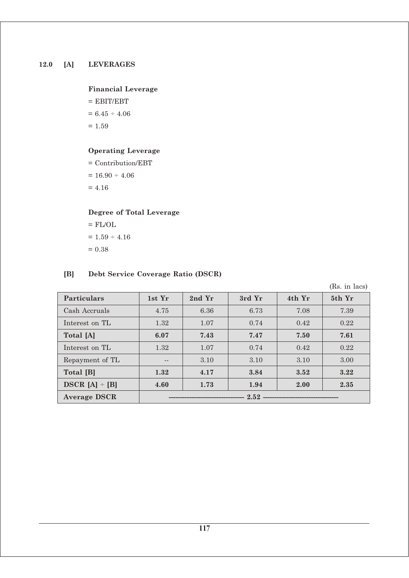# **Financial Leverage**

 $=$  EBIT/EBT  $= 6.45 \div 4.06$  $= 1.59$ 

# **Operating Leverage**

= Contribution/EBT

 $= 16.90 \div 4.06$ 

 $= 4.16$ 

# **Degree of Total Leverage**

 $=$  FL/OL  $\,$  $= 1.59 \div 4.16$  $= 0.38$ 

# **[B] Debt Service Coverage Ratio (DSCR)**

(Rs. in lacs)

| <b>Particulars</b>  | 1st Yr   | 2nd Yr | 3rd Yr | 4th Yr | 5th Yr |
|---------------------|----------|--------|--------|--------|--------|
| Cash Accruals       | 4.75     | 6.36   | 6.73   | 7.08   | 7.39   |
| Interest on TL      | 1.32     | 1.07   | 0.74   | 0.42   | 0.22   |
| Total [A]           | 6.07     | 7.43   | 7.47   | 7.50   | 7.61   |
| Interest on TL      | 1.32     | 1.07   | 0.74   | 0.42   | 0.22   |
| Repayment of TL     |          | 3.10   | 3.10   | 3.10   | 3.00   |
| Total [B]           | 1.32     | 4.17   | 3.84   | 3.52   | 3.22   |
| $DSCR [A] \div [B]$ | 4.60     | 1.73   | 1.94   | 2.00   | 2.35   |
| <b>Average DSCR</b> | $2.52 -$ |        |        |        |        |